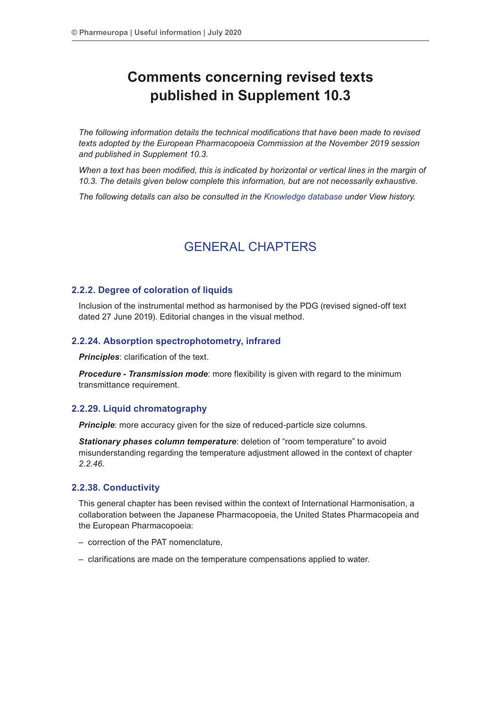# **Comments concerning revised texts published in Supplement 10.3**

*The following information details the technical modifications that have been made to revised texts adopted by the European Pharmacopoeia Commission at the November 2019 session and published in Supplement 10.3.*

*When a text has been modified, this is indicated by horizontal or vertical lines in the margin of 10.3. The details given below complete this information, but are not necessarily exhaustive.*

*The following details can also be consulted in the Knowledge database under View history.*

# GENERAL CHAPTERS

# **2.2.2. Degree of coloration of liquids**

Inclusion of the instrumental method as harmonised by the PDG (revised signed-off text dated 27 June 2019). Editorial changes in the visual method.

# **2.2.24. Absorption spectrophotometry, infrared**

*Principles*: clarification of the text.

*Procedure - Transmission mode*: more flexibility is given with regard to the minimum transmittance requirement.

# **2.2.29. Liquid chromatography**

**Principle**: more accuracy given for the size of reduced-particle size columns.

*Stationary phases column temperature*: deletion of "room temperature" to avoid misunderstanding regarding the temperature adjustment allowed in the context of chapter *2.2.46*.

# **2.2.38. Conductivity**

This general chapter has been revised within the context of International Harmonisation, a collaboration between the Japanese Pharmacopoeia, the United States Pharmacopeia and the European Pharmacopoeia:

- correction of the PAT nomenclature,
- clarifications are made on the temperature compensations applied to water.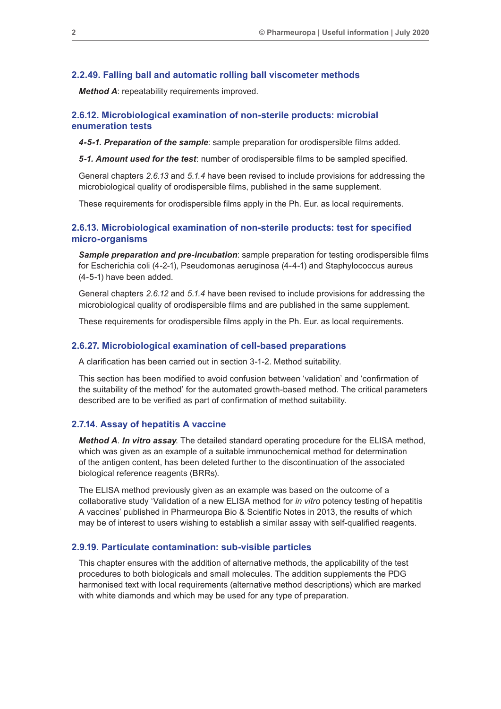### **2.2.49. Falling ball and automatic rolling ball viscometer methods**

*Method A*: repeatability requirements improved.

# **2.6.12. Microbiological examination of non-sterile products: microbial enumeration tests**

*4-5-1. Preparation of the sample*: sample preparation for orodispersible films added.

*5-1. Amount used for the test*: number of orodispersible films to be sampled specified.

General chapters *2.6.13* and *5.1.4* have been revised to include provisions for addressing the microbiological quality of orodispersible films, published in the same supplement.

These requirements for orodispersible films apply in the Ph. Eur. as local requirements.

# **2.6.13. Microbiological examination of non-sterile products: test for specified micro-organisms**

*Sample preparation and pre-incubation*: sample preparation for testing orodispersible films for Escherichia coli (4-2-1), Pseudomonas aeruginosa (4-4-1) and Staphylococcus aureus (4-5-1) have been added.

General chapters *2.6.12* and *5.1.4* have been revised to include provisions for addressing the microbiological quality of orodispersible films and are published in the same supplement.

These requirements for orodispersible films apply in the Ph. Eur. as local requirements.

# **2.6.27. Microbiological examination of cell-based preparations**

A clarification has been carried out in section 3-1-2. Method suitability.

This section has been modified to avoid confusion between 'validation' and 'confirmation of the suitability of the method' for the automated growth-based method. The critical parameters described are to be verified as part of confirmation of method suitability.

# **2.7.14. Assay of hepatitis A vaccine**

*Method A*. *In vitro assay*. The detailed standard operating procedure for the ELISA method, which was given as an example of a suitable immunochemical method for determination of the antigen content, has been deleted further to the discontinuation of the associated biological reference reagents (BRRs).

The ELISA method previously given as an example was based on the outcome of a collaborative study 'Validation of a new ELISA method for *in vitro* potency testing of hepatitis A vaccines' published in Pharmeuropa Bio & Scientific Notes in 2013, the results of which may be of interest to users wishing to establish a similar assay with self-qualified reagents.

#### **2.9.19. Particulate contamination: sub-visible particles**

This chapter ensures with the addition of alternative methods, the applicability of the test procedures to both biologicals and small molecules. The addition supplements the PDG harmonised text with local requirements (alternative method descriptions) which are marked with white diamonds and which may be used for any type of preparation.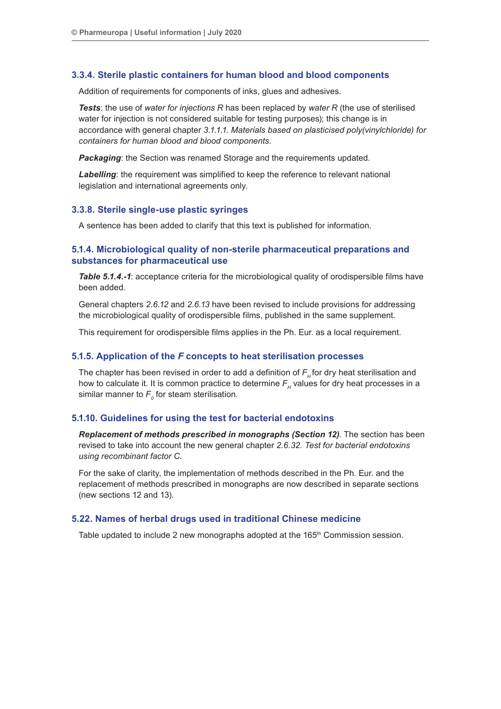## **3.3.4. Sterile plastic containers for human blood and blood components**

Addition of requirements for components of inks, glues and adhesives.

*Tests*: the use of *water for injections R* has been replaced by *water R* (the use of sterilised water for injection is not considered suitable for testing purposes); this change is in accordance with general chapter *3.1.1.1. Materials based on plasticised poly(vinylchloride) for containers for human blood and blood components*.

*Packaging*: the Section was renamed Storage and the requirements updated.

*Labelling*: the requirement was simplified to keep the reference to relevant national legislation and international agreements only.

#### **3.3.8. Sterile single-use plastic syringes**

A sentence has been added to clarify that this text is published for information.

# **5.1.4. Microbiological quality of non-sterile pharmaceutical preparations and substances for pharmaceutical use**

*Table 5.1.4.-1*: acceptance criteria for the microbiological quality of orodispersible films have been added.

General chapters *2.6.12* and *2.6.13* have been revised to include provisions for addressing the microbiological quality of orodispersible films, published in the same supplement.

This requirement for orodispersible films applies in the Ph. Eur. as a local requirement.

#### **5.1.5. Application of the** *F* **concepts to heat sterilisation processes**

The chapter has been revised in order to add a definition of  $F<sub>H</sub>$  for dry heat sterilisation and how to calculate it. It is common practice to determine  $F_{\mu}$  values for dry heat processes in a similar manner to  $\mathit{F}_{_{\mathit{0}}}$  for steam sterilisation.

# **5.1.10. Guidelines for using the test for bacterial endotoxins**

*Replacement of methods prescribed in monographs (Section 12)*. The section has been revised to take into account the new general chapter *2.6.32. Test for bacterial endotoxins using recombinant factor C*.

For the sake of clarity, the implementation of methods described in the Ph. Eur. and the replacement of methods prescribed in monographs are now described in separate sections (new sections 12 and 13).

#### **5.22. Names of herbal drugs used in traditional Chinese medicine**

Table updated to include 2 new monographs adopted at the 165<sup>th</sup> Commission session.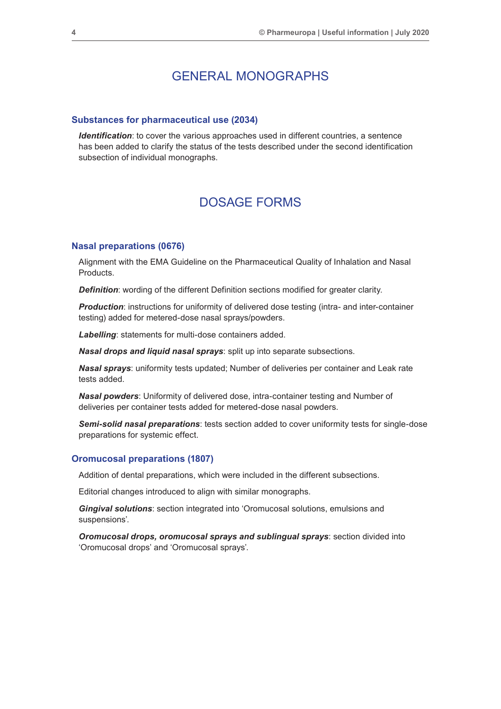# GENERAL MONOGRAPHS

#### **Substances for pharmaceutical use (2034)**

*Identification*: to cover the various approaches used in different countries, a sentence has been added to clarify the status of the tests described under the second identification subsection of individual monographs.

# DOSAGE FORMS

#### **Nasal preparations (0676)**

Alignment with the EMA Guideline on the Pharmaceutical Quality of Inhalation and Nasal Products.

*Definition*: wording of the different Definition sections modified for greater clarity.

**Production:** instructions for uniformity of delivered dose testing (intra- and inter-container testing) added for metered-dose nasal sprays/powders.

*Labelling*: statements for multi-dose containers added.

*Nasal drops and liquid nasal sprays*: split up into separate subsections.

*Nasal sprays*: uniformity tests updated; Number of deliveries per container and Leak rate tests added.

*Nasal powders*: Uniformity of delivered dose, intra-container testing and Number of deliveries per container tests added for metered-dose nasal powders.

*Semi-solid nasal preparations*: tests section added to cover uniformity tests for single-dose preparations for systemic effect.

## **Oromucosal preparations (1807)**

Addition of dental preparations, which were included in the different subsections.

Editorial changes introduced to align with similar monographs.

*Gingival solutions*: section integrated into 'Oromucosal solutions, emulsions and suspensions'.

*Oromucosal drops, oromucosal sprays and sublingual sprays*: section divided into 'Oromucosal drops' and 'Oromucosal sprays'.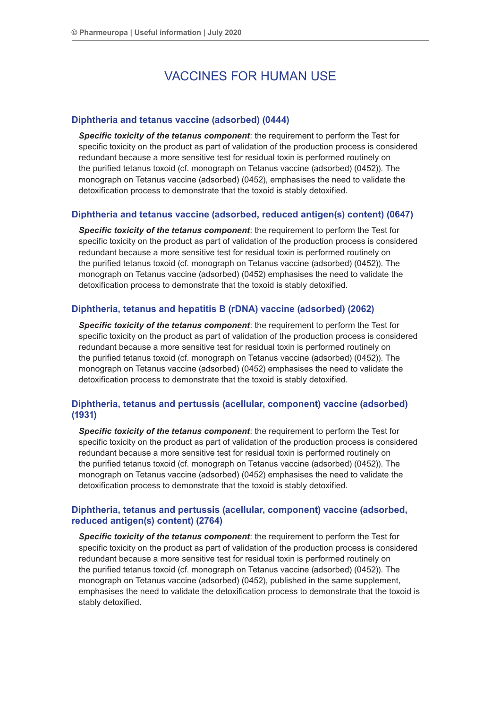# VACCINES FOR HUMAN USE

# **Diphtheria and tetanus vaccine (adsorbed) (0444)**

*Specific toxicity of the tetanus component*: the requirement to perform the Test for specific toxicity on the product as part of validation of the production process is considered redundant because a more sensitive test for residual toxin is performed routinely on the purified tetanus toxoid (cf. monograph on Tetanus vaccine (adsorbed) (0452)). The monograph on Tetanus vaccine (adsorbed) (0452), emphasises the need to validate the detoxification process to demonstrate that the toxoid is stably detoxified.

# **Diphtheria and tetanus vaccine (adsorbed, reduced antigen(s) content) (0647)**

*Specific toxicity of the tetanus component*: the requirement to perform the Test for specific toxicity on the product as part of validation of the production process is considered redundant because a more sensitive test for residual toxin is performed routinely on the purified tetanus toxoid (cf. monograph on Tetanus vaccine (adsorbed) (0452)). The monograph on Tetanus vaccine (adsorbed) (0452) emphasises the need to validate the detoxification process to demonstrate that the toxoid is stably detoxified.

## **Diphtheria, tetanus and hepatitis B (rDNA) vaccine (adsorbed) (2062)**

*Specific toxicity of the tetanus component*: the requirement to perform the Test for specific toxicity on the product as part of validation of the production process is considered redundant because a more sensitive test for residual toxin is performed routinely on the purified tetanus toxoid (cf. monograph on Tetanus vaccine (adsorbed) (0452)). The monograph on Tetanus vaccine (adsorbed) (0452) emphasises the need to validate the detoxification process to demonstrate that the toxoid is stably detoxified.

# **Diphtheria, tetanus and pertussis (acellular, component) vaccine (adsorbed) (1931)**

*Specific toxicity of the tetanus component*: the requirement to perform the Test for specific toxicity on the product as part of validation of the production process is considered redundant because a more sensitive test for residual toxin is performed routinely on the purified tetanus toxoid (cf. monograph on Tetanus vaccine (adsorbed) (0452)). The monograph on Tetanus vaccine (adsorbed) (0452) emphasises the need to validate the detoxification process to demonstrate that the toxoid is stably detoxified.

# **Diphtheria, tetanus and pertussis (acellular, component) vaccine (adsorbed, reduced antigen(s) content) (2764)**

*Specific toxicity of the tetanus component*: the requirement to perform the Test for specific toxicity on the product as part of validation of the production process is considered redundant because a more sensitive test for residual toxin is performed routinely on the purified tetanus toxoid (cf. monograph on Tetanus vaccine (adsorbed) (0452)). The monograph on Tetanus vaccine (adsorbed) (0452), published in the same supplement, emphasises the need to validate the detoxification process to demonstrate that the toxoid is stably detoxified.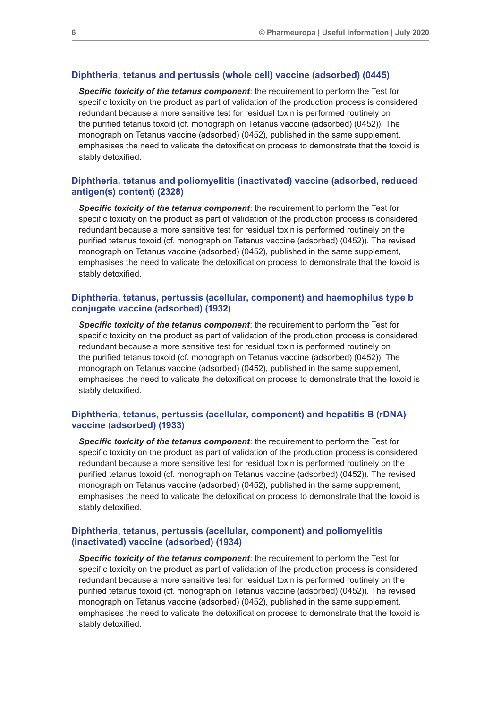### **Diphtheria, tetanus and pertussis (whole cell) vaccine (adsorbed) (0445)**

*Specific toxicity of the tetanus component*: the requirement to perform the Test for specific toxicity on the product as part of validation of the production process is considered redundant because a more sensitive test for residual toxin is performed routinely on the purified tetanus toxoid (cf. monograph on Tetanus vaccine (adsorbed) (0452)). The monograph on Tetanus vaccine (adsorbed) (0452), published in the same supplement, emphasises the need to validate the detoxification process to demonstrate that the toxoid is stably detoxified.

# **Diphtheria, tetanus and poliomyelitis (inactivated) vaccine (adsorbed, reduced antigen(s) content) (2328)**

*Specific toxicity of the tetanus component*: the requirement to perform the Test for specific toxicity on the product as part of validation of the production process is considered redundant because a more sensitive test for residual toxin is performed routinely on the purified tetanus toxoid (cf. monograph on Tetanus vaccine (adsorbed) (0452)). The revised monograph on Tetanus vaccine (adsorbed) (0452), published in the same supplement, emphasises the need to validate the detoxification process to demonstrate that the toxoid is stably detoxified.

# **Diphtheria, tetanus, pertussis (acellular, component) and haemophilus type b conjugate vaccine (adsorbed) (1932)**

*Specific toxicity of the tetanus component*: the requirement to perform the Test for specific toxicity on the product as part of validation of the production process is considered redundant because a more sensitive test for residual toxin is performed routinely on the purified tetanus toxoid (cf. monograph on Tetanus vaccine (adsorbed) (0452)). The monograph on Tetanus vaccine (adsorbed) (0452), published in the same supplement, emphasises the need to validate the detoxification process to demonstrate that the toxoid is stably detoxified.

# **Diphtheria, tetanus, pertussis (acellular, component) and hepatitis B (rDNA) vaccine (adsorbed) (1933)**

*Specific toxicity of the tetanus component*: the requirement to perform the Test for specific toxicity on the product as part of validation of the production process is considered redundant because a more sensitive test for residual toxin is performed routinely on the purified tetanus toxoid (cf. monograph on Tetanus vaccine (adsorbed) (0452)). The revised monograph on Tetanus vaccine (adsorbed) (0452), published in the same supplement, emphasises the need to validate the detoxification process to demonstrate that the toxoid is stably detoxified.

# **Diphtheria, tetanus, pertussis (acellular, component) and poliomyelitis (inactivated) vaccine (adsorbed) (1934)**

*Specific toxicity of the tetanus component*: the requirement to perform the Test for specific toxicity on the product as part of validation of the production process is considered redundant because a more sensitive test for residual toxin is performed routinely on the purified tetanus toxoid (cf. monograph on Tetanus vaccine (adsorbed) (0452)). The revised monograph on Tetanus vaccine (adsorbed) (0452), published in the same supplement, emphasises the need to validate the detoxification process to demonstrate that the toxoid is stably detoxified.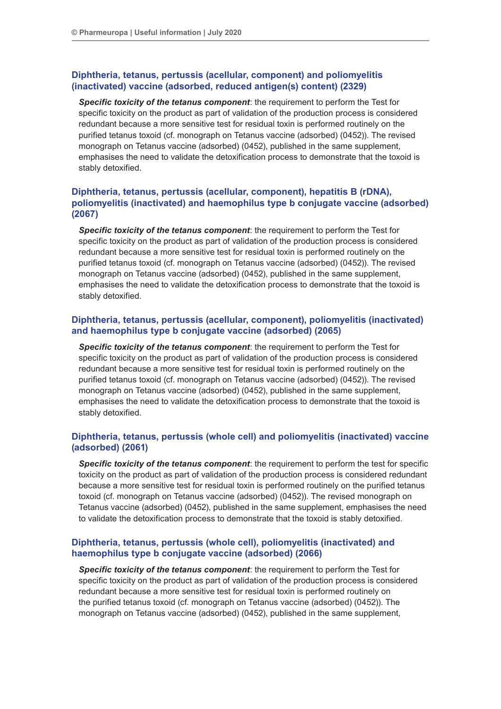# **Diphtheria, tetanus, pertussis (acellular, component) and poliomyelitis (inactivated) vaccine (adsorbed, reduced antigen(s) content) (2329)**

*Specific toxicity of the tetanus component*: the requirement to perform the Test for specific toxicity on the product as part of validation of the production process is considered redundant because a more sensitive test for residual toxin is performed routinely on the purified tetanus toxoid (cf. monograph on Tetanus vaccine (adsorbed) (0452)). The revised monograph on Tetanus vaccine (adsorbed) (0452), published in the same supplement, emphasises the need to validate the detoxification process to demonstrate that the toxoid is stably detoxified.

# **Diphtheria, tetanus, pertussis (acellular, component), hepatitis B (rDNA), poliomyelitis (inactivated) and haemophilus type b conjugate vaccine (adsorbed) (2067)**

*Specific toxicity of the tetanus component*: the requirement to perform the Test for specific toxicity on the product as part of validation of the production process is considered redundant because a more sensitive test for residual toxin is performed routinely on the purified tetanus toxoid (cf. monograph on Tetanus vaccine (adsorbed) (0452)). The revised monograph on Tetanus vaccine (adsorbed) (0452), published in the same supplement, emphasises the need to validate the detoxification process to demonstrate that the toxoid is stably detoxified.

# **Diphtheria, tetanus, pertussis (acellular, component), poliomyelitis (inactivated) and haemophilus type b conjugate vaccine (adsorbed) (2065)**

*Specific toxicity of the tetanus component*: the requirement to perform the Test for specific toxicity on the product as part of validation of the production process is considered redundant because a more sensitive test for residual toxin is performed routinely on the purified tetanus toxoid (cf. monograph on Tetanus vaccine (adsorbed) (0452)). The revised monograph on Tetanus vaccine (adsorbed) (0452), published in the same supplement, emphasises the need to validate the detoxification process to demonstrate that the toxoid is stably detoxified.

# **Diphtheria, tetanus, pertussis (whole cell) and poliomyelitis (inactivated) vaccine (adsorbed) (2061)**

*Specific toxicity of the tetanus component*: the requirement to perform the test for specific toxicity on the product as part of validation of the production process is considered redundant because a more sensitive test for residual toxin is performed routinely on the purified tetanus toxoid (cf. monograph on Tetanus vaccine (adsorbed) (0452)). The revised monograph on Tetanus vaccine (adsorbed) (0452), published in the same supplement, emphasises the need to validate the detoxification process to demonstrate that the toxoid is stably detoxified.

# **Diphtheria, tetanus, pertussis (whole cell), poliomyelitis (inactivated) and haemophilus type b conjugate vaccine (adsorbed) (2066)**

*Specific toxicity of the tetanus component*: the requirement to perform the Test for specific toxicity on the product as part of validation of the production process is considered redundant because a more sensitive test for residual toxin is performed routinely on the purified tetanus toxoid (cf. monograph on Tetanus vaccine (adsorbed) (0452)). The monograph on Tetanus vaccine (adsorbed) (0452), published in the same supplement,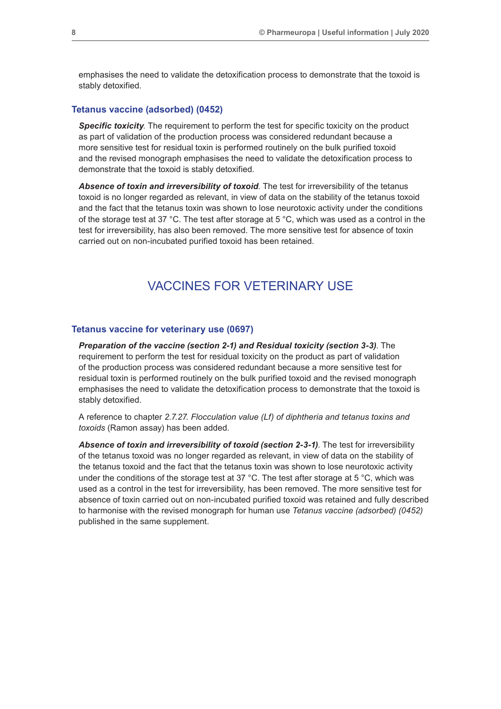emphasises the need to validate the detoxification process to demonstrate that the toxoid is stably detoxified.

## **Tetanus vaccine (adsorbed) (0452)**

*Specific toxicity*. The requirement to perform the test for specific toxicity on the product as part of validation of the production process was considered redundant because a more sensitive test for residual toxin is performed routinely on the bulk purified toxoid and the revised monograph emphasises the need to validate the detoxification process to demonstrate that the toxoid is stably detoxified.

*Absence of toxin and irreversibility of toxoid*. The test for irreversibility of the tetanus toxoid is no longer regarded as relevant, in view of data on the stability of the tetanus toxoid and the fact that the tetanus toxin was shown to lose neurotoxic activity under the conditions of the storage test at 37 °C. The test after storage at 5 °C, which was used as a control in the test for irreversibility, has also been removed. The more sensitive test for absence of toxin carried out on non-incubated purified toxoid has been retained.

# VACCINES FOR VETERINARY USE

#### **Tetanus vaccine for veterinary use (0697)**

*Preparation of the vaccine (section 2-1) and Residual toxicity (section 3-3)*. The requirement to perform the test for residual toxicity on the product as part of validation of the production process was considered redundant because a more sensitive test for residual toxin is performed routinely on the bulk purified toxoid and the revised monograph emphasises the need to validate the detoxification process to demonstrate that the toxoid is stably detoxified.

A reference to chapter *2.7.27. Flocculation value (Lf) of diphtheria and tetanus toxins and toxoids* (Ramon assay) has been added.

Absence of toxin and irreversibility of toxoid (section 2-3-1). The test for irreversibility of the tetanus toxoid was no longer regarded as relevant, in view of data on the stability of the tetanus toxoid and the fact that the tetanus toxin was shown to lose neurotoxic activity under the conditions of the storage test at 37 °C. The test after storage at 5 °C, which was used as a control in the test for irreversibility, has been removed. The more sensitive test for absence of toxin carried out on non-incubated purified toxoid was retained and fully described to harmonise with the revised monograph for human use *Tetanus vaccine (adsorbed) (0452)* published in the same supplement.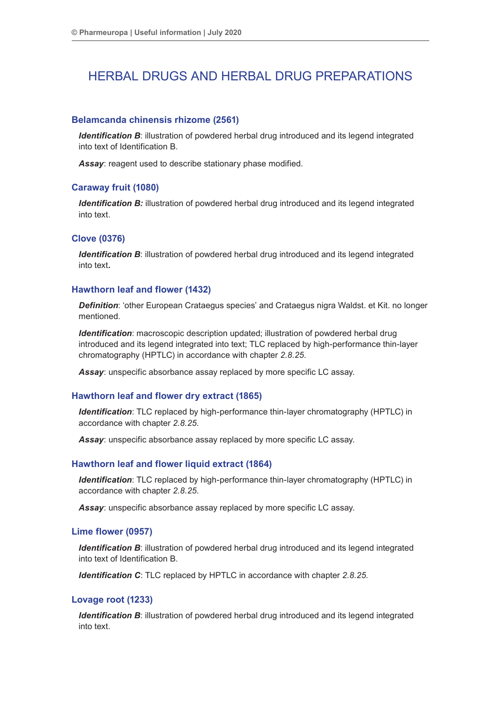# HERBAL DRUGS AND HERBAL DRUG PREPARATIONS

# **Belamcanda chinensis rhizome (2561)**

**Identification B:** illustration of powdered herbal drug introduced and its legend integrated into text of Identification B.

*Assay*: reagent used to describe stationary phase modified.

# **Caraway fruit (1080)**

*Identification B:* illustration of powdered herbal drug introduced and its legend integrated into text.

# **Clove (0376)**

*Identification B*: illustration of powdered herbal drug introduced and its legend integrated into text*.*

# **Hawthorn leaf and flower (1432)**

*Definition*: 'other European Crataegus species' and Crataegus nigra Waldst. et Kit. no longer mentioned.

*Identification*: macroscopic description updated; illustration of powdered herbal drug introduced and its legend integrated into text; TLC replaced by high-performance thin-layer chromatography (HPTLC) in accordance with chapter *2.8.25*.

*Assay*: unspecific absorbance assay replaced by more specific LC assay.

# **Hawthorn leaf and flower dry extract (1865)**

*Identification*: TLC replaced by high-performance thin-layer chromatography (HPTLC) in accordance with chapter *2.8.25*.

*Assay*: unspecific absorbance assay replaced by more specific LC assay.

## **Hawthorn leaf and flower liquid extract (1864)**

*Identification*: TLC replaced by high-performance thin-layer chromatography (HPTLC) in accordance with chapter *2.8.25*.

*Assay*: unspecific absorbance assay replaced by more specific LC assay.

# **Lime flower (0957)**

**Identification B:** illustration of powdered herbal drug introduced and its legend integrated into text of Identification B.

*Identification C*: TLC replaced by HPTLC in accordance with chapter *2.8.25*.

# **Lovage root (1233)**

**Identification B:** illustration of powdered herbal drug introduced and its legend integrated into text.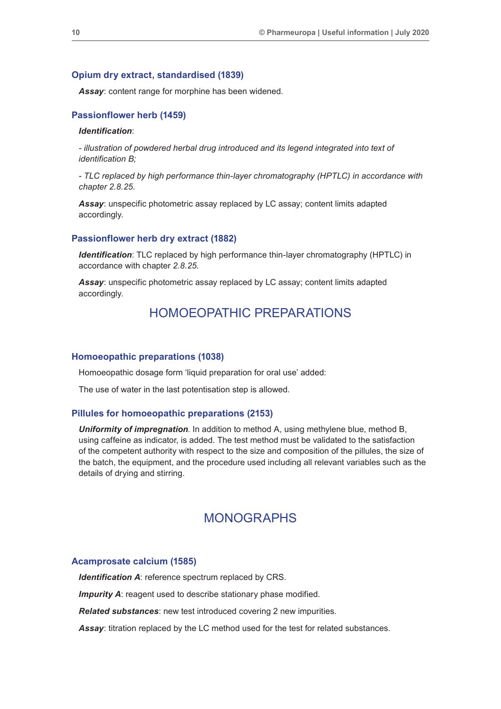### **Opium dry extract, standardised (1839)**

*Assay*: content range for morphine has been widened.

# **Passionflower herb (1459)**

## *Identification*:

*- illustration of powdered herbal drug introduced and its legend integrated into text of identification B;* 

*- TLC replaced by high performance thin-layer chromatography (HPTLC) in accordance with chapter 2.8.25.*

*Assay*: unspecific photometric assay replaced by LC assay; content limits adapted accordingly.

# **Passionflower herb dry extract (1882)**

*Identification*: TLC replaced by high performance thin-layer chromatography (HPTLC) in accordance with chapter *2.8.25*.

*Assay*: unspecific photometric assay replaced by LC assay; content limits adapted accordingly.

# HOMOEOPATHIC PREPARATIONS

#### **Homoeopathic preparations (1038)**

Homoeopathic dosage form 'liquid preparation for oral use' added:

The use of water in the last potentisation step is allowed.

#### **Pillules for homoeopathic preparations (2153)**

*Uniformity of impregnation*. In addition to method A, using methylene blue, method B, using caffeine as indicator, is added. The test method must be validated to the satisfaction of the competent authority with respect to the size and composition of the pillules, the size of the batch, the equipment, and the procedure used including all relevant variables such as the details of drying and stirring.

# MONOGRAPHS

#### **Acamprosate calcium (1585)**

*Identification A*: reference spectrum replaced by CRS.

**Impurity A:** reagent used to describe stationary phase modified.

*Related substances*: new test introduced covering 2 new impurities.

*Assay*: titration replaced by the LC method used for the test for related substances.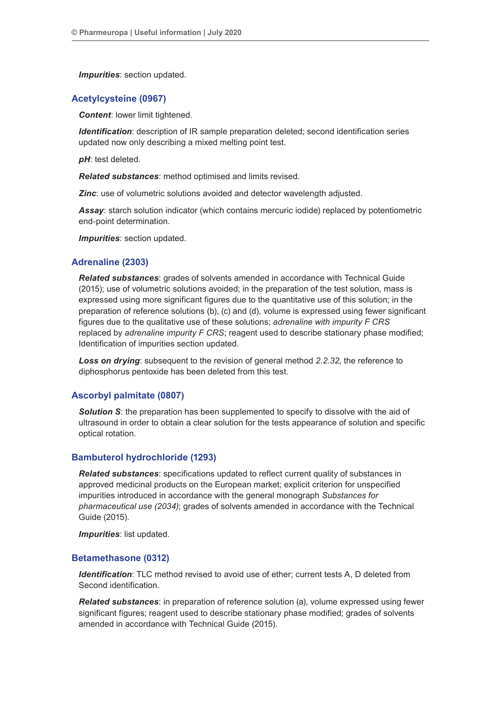*Impurities*: section updated.

# **Acetylcysteine (0967)**

*Content*: lower limit tightened.

*Identification:* description of IR sample preparation deleted; second identification series updated now only describing a mixed melting point test.

*pH*: test deleted.

*Related substances*: method optimised and limits revised.

*Zinc*: use of volumetric solutions avoided and detector wavelength adjusted.

*Assay*: starch solution indicator (which contains mercuric iodide) replaced by potentiometric end-point determination.

*Impurities*: section updated.

## **Adrenaline (2303)**

*Related substances*: grades of solvents amended in accordance with Technical Guide (2015); use of volumetric solutions avoided; in the preparation of the test solution, mass is expressed using more significant figures due to the quantitative use of this solution; in the preparation of reference solutions (b), (c) and (d), volume is expressed using fewer significant figures due to the qualitative use of these solutions; *adrenaline with impurity F CRS* replaced by *adrenaline impurity F CRS*; reagent used to describe stationary phase modified; Identification of impurities section updated.

*Loss on drying*: subsequent to the revision of general method *2.2.32*, the reference to diphosphorus pentoxide has been deleted from this test.

## **Ascorbyl palmitate (0807)**

**Solution S**: the preparation has been supplemented to specify to dissolve with the aid of ultrasound in order to obtain a clear solution for the tests appearance of solution and specific optical rotation.

## **Bambuterol hydrochloride (1293)**

*Related substances*: specifications updated to reflect current quality of substances in approved medicinal products on the European market; explicit criterion for unspecified impurities introduced in accordance with the general monograph *Substances for pharmaceutical use (2034)*; grades of solvents amended in accordance with the Technical Guide (2015).

*Impurities*: list updated.

## **Betamethasone (0312)**

*Identification*: TLC method revised to avoid use of ether; current tests A, D deleted from Second identification.

*Related substances*: in preparation of reference solution (a), volume expressed using fewer significant figures; reagent used to describe stationary phase modified; grades of solvents amended in accordance with Technical Guide (2015).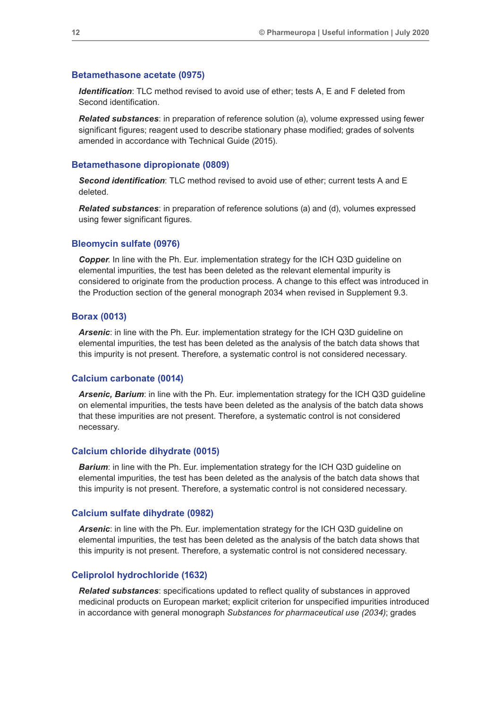#### **Betamethasone acetate (0975)**

*Identification*: TLC method revised to avoid use of ether; tests A, E and F deleted from Second identification.

*Related substances*: in preparation of reference solution (a), volume expressed using fewer significant figures; reagent used to describe stationary phase modified; grades of solvents amended in accordance with Technical Guide (2015).

## **Betamethasone dipropionate (0809)**

*Second identification*: TLC method revised to avoid use of ether; current tests A and E deleted.

*Related substances*: in preparation of reference solutions (a) and (d), volumes expressed using fewer significant figures.

# **Bleomycin sulfate (0976)**

*Copper*. In line with the Ph. Eur. implementation strategy for the ICH Q3D guideline on elemental impurities, the test has been deleted as the relevant elemental impurity is considered to originate from the production process. A change to this effect was introduced in the Production section of the general monograph 2034 when revised in Supplement 9.3.

### **Borax (0013)**

*Arsenic*: in line with the Ph. Eur. implementation strategy for the ICH Q3D guideline on elemental impurities, the test has been deleted as the analysis of the batch data shows that this impurity is not present. Therefore, a systematic control is not considered necessary.

# **Calcium carbonate (0014)**

*Arsenic, Barium*: in line with the Ph. Eur. implementation strategy for the ICH Q3D guideline on elemental impurities, the tests have been deleted as the analysis of the batch data shows that these impurities are not present. Therefore, a systematic control is not considered necessary.

## **Calcium chloride dihydrate (0015)**

*Barium*: in line with the Ph. Eur. implementation strategy for the ICH Q3D guideline on elemental impurities, the test has been deleted as the analysis of the batch data shows that this impurity is not present. Therefore, a systematic control is not considered necessary.

#### **Calcium sulfate dihydrate (0982)**

*Arsenic*: in line with the Ph. Eur. implementation strategy for the ICH Q3D guideline on elemental impurities, the test has been deleted as the analysis of the batch data shows that this impurity is not present. Therefore, a systematic control is not considered necessary.

# **Celiprolol hydrochloride (1632)**

*Related substances*: specifications updated to reflect quality of substances in approved medicinal products on European market; explicit criterion for unspecified impurities introduced in accordance with general monograph *Substances for pharmaceutical use (2034)*; grades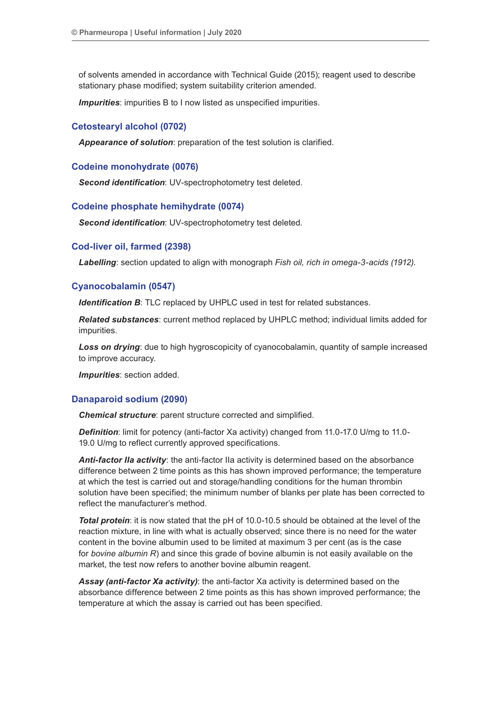of solvents amended in accordance with Technical Guide (2015); reagent used to describe stationary phase modified; system suitability criterion amended.

*Impurities*: impurities B to I now listed as unspecified impurities.

# **Cetostearyl alcohol (0702)**

*Appearance of solution*: preparation of the test solution is clarified.

# **Codeine monohydrate (0076)**

*Second identification*: UV-spectrophotometry test deleted.

# **Codeine phosphate hemihydrate (0074)**

*Second identification*: UV-spectrophotometry test deleted.

## **Cod-liver oil, farmed (2398)**

*Labelling*: section updated to align with monograph *Fish oil, rich in omega-3-acids (1912)*.

# **Cyanocobalamin (0547)**

*Identification B*: TLC replaced by UHPLC used in test for related substances.

*Related substances*: current method replaced by UHPLC method; individual limits added for impurities.

**Loss on drying**: due to high hygroscopicity of cyanocobalamin, quantity of sample increased to improve accuracy.

*Impurities*: section added.

# **Danaparoid sodium (2090)**

*Chemical structure*: parent structure corrected and simplified.

**Definition**: limit for potency (anti-factor Xa activity) changed from 11.0-17.0 U/mg to 11.0-19.0 U/mg to reflect currently approved specifications.

*Anti-factor IIa activity*: the anti-factor IIa activity is determined based on the absorbance difference between 2 time points as this has shown improved performance; the temperature at which the test is carried out and storage/handling conditions for the human thrombin solution have been specified; the minimum number of blanks per plate has been corrected to reflect the manufacturer's method.

*Total protein*: it is now stated that the pH of 10.0-10.5 should be obtained at the level of the reaction mixture, in line with what is actually observed; since there is no need for the water content in the bovine albumin used to be limited at maximum 3 per cent (as is the case for *bovine albumin R*) and since this grade of bovine albumin is not easily available on the market, the test now refers to another bovine albumin reagent.

*Assay (anti-factor Xa activity)*: the anti-factor Xa activity is determined based on the absorbance difference between 2 time points as this has shown improved performance; the temperature at which the assay is carried out has been specified.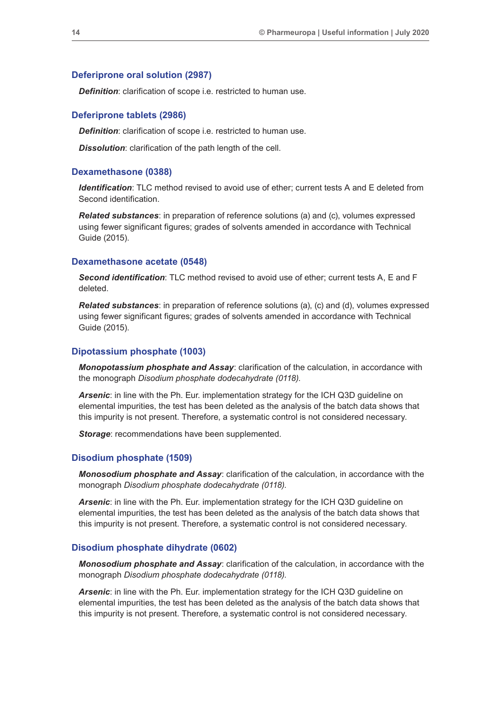# **Deferiprone oral solution (2987)**

**Definition:** clarification of scope i.e. restricted to human use.

## **Deferiprone tablets (2986)**

*Definition*: clarification of scope i.e. restricted to human use.

*Dissolution*: clarification of the path length of the cell.

# **Dexamethasone (0388)**

*Identification*: TLC method revised to avoid use of ether; current tests A and E deleted from Second identification.

*Related substances*: in preparation of reference solutions (a) and (c), volumes expressed using fewer significant figures; grades of solvents amended in accordance with Technical Guide (2015).

#### **Dexamethasone acetate (0548)**

*Second identification*: TLC method revised to avoid use of ether; current tests A, E and F deleted.

*Related substances*: in preparation of reference solutions (a), (c) and (d), volumes expressed using fewer significant figures; grades of solvents amended in accordance with Technical Guide (2015).

# **Dipotassium phosphate (1003)**

*Monopotassium phosphate and Assay*: clarification of the calculation, in accordance with the monograph *Disodium phosphate dodecahydrate (0118)*.

*Arsenic*: in line with the Ph. Eur. implementation strategy for the ICH Q3D guideline on elemental impurities, the test has been deleted as the analysis of the batch data shows that this impurity is not present. Therefore, a systematic control is not considered necessary.

**Storage:** recommendations have been supplemented.

#### **Disodium phosphate (1509)**

*Monosodium phosphate and Assay*: clarification of the calculation, in accordance with the monograph *Disodium phosphate dodecahydrate (0118)*.

*Arsenic*: in line with the Ph. Eur. implementation strategy for the ICH Q3D guideline on elemental impurities, the test has been deleted as the analysis of the batch data shows that this impurity is not present. Therefore, a systematic control is not considered necessary.

#### **Disodium phosphate dihydrate (0602)**

*Monosodium phosphate and Assay*: clarification of the calculation, in accordance with the monograph *Disodium phosphate dodecahydrate (0118)*.

*Arsenic*: in line with the Ph. Eur. implementation strategy for the ICH Q3D guideline on elemental impurities, the test has been deleted as the analysis of the batch data shows that this impurity is not present. Therefore, a systematic control is not considered necessary.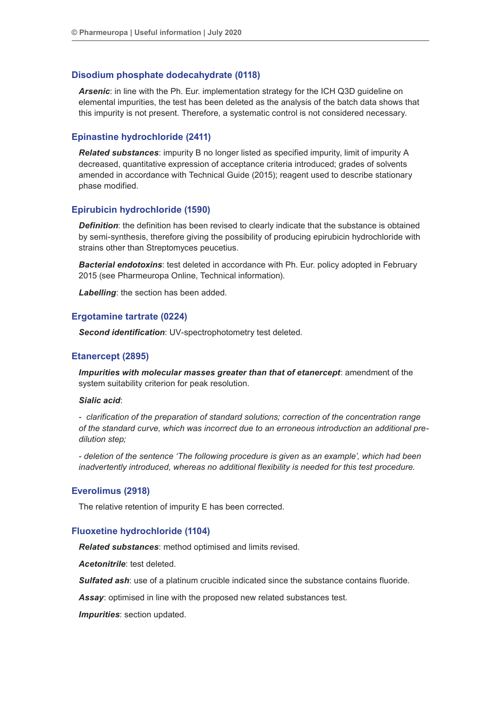# **Disodium phosphate dodecahydrate (0118)**

*Arsenic*: in line with the Ph. Eur. implementation strategy for the ICH Q3D guideline on elemental impurities, the test has been deleted as the analysis of the batch data shows that this impurity is not present. Therefore, a systematic control is not considered necessary.

# **Epinastine hydrochloride (2411)**

*Related substances*: impurity B no longer listed as specified impurity, limit of impurity A decreased, quantitative expression of acceptance criteria introduced; grades of solvents amended in accordance with Technical Guide (2015); reagent used to describe stationary phase modified.

# **Epirubicin hydrochloride (1590)**

**Definition**: the definition has been revised to clearly indicate that the substance is obtained by semi-synthesis, therefore giving the possibility of producing epirubicin hydrochloride with strains other than Streptomyces peucetius.

*Bacterial endotoxins*: test deleted in accordance with Ph. Eur. policy adopted in February 2015 (see Pharmeuropa Online, Technical information).

*Labelling*: the section has been added.

# **Ergotamine tartrate (0224)**

*Second identification*: UV-spectrophotometry test deleted.

# **Etanercept (2895)**

*Impurities with molecular masses greater than that of etanercept*: amendment of the system suitability criterion for peak resolution.

# *Sialic acid*:

*- clarification of the preparation of standard solutions; correction of the concentration range of the standard curve, which was incorrect due to an erroneous introduction an additional predilution step;*

*- deletion of the sentence 'The following procedure is given as an example', which had been inadvertently introduced, whereas no additional flexibility is needed for this test procedure.*

## **Everolimus (2918)**

The relative retention of impurity E has been corrected.

## **Fluoxetine hydrochloride (1104)**

*Related substances*: method optimised and limits revised.

*Acetonitrile*: test deleted.

*Sulfated ash*: use of a platinum crucible indicated since the substance contains fluoride.

*Assay*: optimised in line with the proposed new related substances test.

*Impurities*: section updated.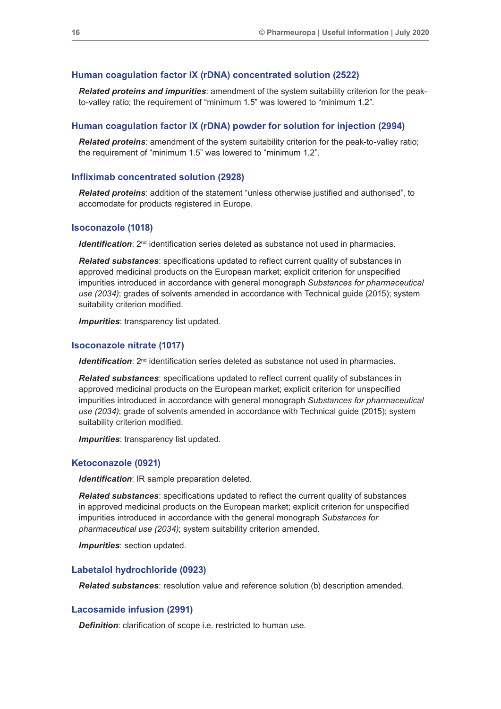## **Human coagulation factor IX (rDNA) concentrated solution (2522)**

*Related proteins and impurities*: amendment of the system suitability criterion for the peakto-valley ratio; the requirement of "minimum 1.5" was lowered to "minimum 1.2".

#### **Human coagulation factor IX (rDNA) powder for solution for injection (2994)**

*Related proteins*: amendment of the system suitability criterion for the peak-to-valley ratio; the requirement of "minimum 1.5" was lowered to "minimum 1.2".

#### **Infliximab concentrated solution (2928)**

*Related proteins*: addition of the statement "unless otherwise justified and authorised", to accomodate for products registered in Europe.

#### **Isoconazole (1018)**

*Identification*:  $2^{nd}$  identification series deleted as substance not used in pharmacies.

*Related substances*: specifications updated to reflect current quality of substances in approved medicinal products on the European market; explicit criterion for unspecified impurities introduced in accordance with general monograph *Substances for pharmaceutical use (2034)*; grades of solvents amended in accordance with Technical guide (2015); system suitability criterion modified.

*Impurities*: transparency list updated.

#### **Isoconazole nitrate (1017)**

*Identification*: 2<sup>nd</sup> identification series deleted as substance not used in pharmacies.

*Related substances*: specifications updated to reflect current quality of substances in approved medicinal products on the European market; explicit criterion for unspecified impurities introduced in accordance with general monograph *Substances for pharmaceutical use (2034)*; grade of solvents amended in accordance with Technical guide (2015); system suitability criterion modified.

*Impurities*: transparency list updated.

#### **Ketoconazole (0921)**

*Identification*: IR sample preparation deleted.

*Related substances*: specifications updated to reflect the current quality of substances in approved medicinal products on the European market; explicit criterion for unspecified impurities introduced in accordance with the general monograph *Substances for pharmaceutical use (2034)*; system suitability criterion amended.

*Impurities*: section updated.

#### **Labetalol hydrochloride (0923)**

*Related substances*: resolution value and reference solution (b) description amended.

## **Lacosamide infusion (2991)**

*Definition*: clarification of scope i.e. restricted to human use.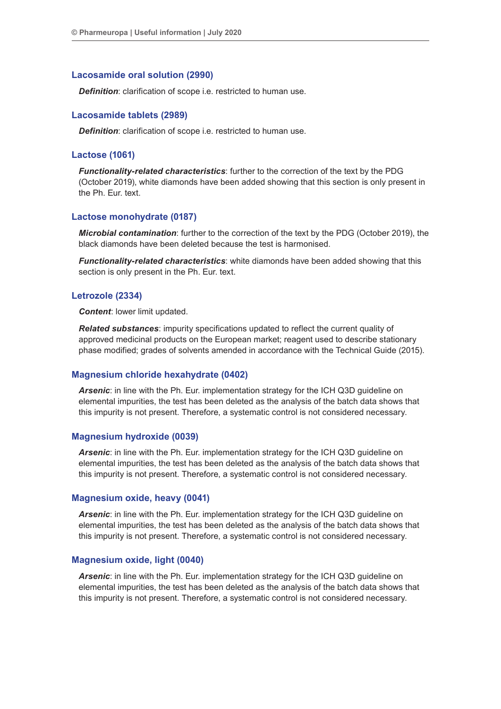# **Lacosamide oral solution (2990)**

*Definition*: clarification of scope i.e. restricted to human use.

# **Lacosamide tablets (2989)**

*Definition*: clarification of scope i.e. restricted to human use.

# **Lactose (1061)**

*Functionality-related characteristics*: further to the correction of the text by the PDG (October 2019), white diamonds have been added showing that this section is only present in the Ph. Eur. text.

# **Lactose monohydrate (0187)**

*Microbial contamination*: further to the correction of the text by the PDG (October 2019), the black diamonds have been deleted because the test is harmonised.

*Functionality-related characteristics*: white diamonds have been added showing that this section is only present in the Ph. Eur. text.

## **Letrozole (2334)**

*Content*: lower limit updated.

*Related substances*: impurity specifications updated to reflect the current quality of approved medicinal products on the European market; reagent used to describe stationary phase modified; grades of solvents amended in accordance with the Technical Guide (2015).

## **Magnesium chloride hexahydrate (0402)**

*Arsenic*: in line with the Ph. Eur. implementation strategy for the ICH Q3D guideline on elemental impurities, the test has been deleted as the analysis of the batch data shows that this impurity is not present. Therefore, a systematic control is not considered necessary.

## **Magnesium hydroxide (0039)**

*Arsenic*: in line with the Ph. Eur. implementation strategy for the ICH Q3D guideline on elemental impurities, the test has been deleted as the analysis of the batch data shows that this impurity is not present. Therefore, a systematic control is not considered necessary.

## **Magnesium oxide, heavy (0041)**

*Arsenic*: in line with the Ph. Eur. implementation strategy for the ICH Q3D guideline on elemental impurities, the test has been deleted as the analysis of the batch data shows that this impurity is not present. Therefore, a systematic control is not considered necessary.

## **Magnesium oxide, light (0040)**

*Arsenic*: in line with the Ph. Eur. implementation strategy for the ICH Q3D guideline on elemental impurities, the test has been deleted as the analysis of the batch data shows that this impurity is not present. Therefore, a systematic control is not considered necessary.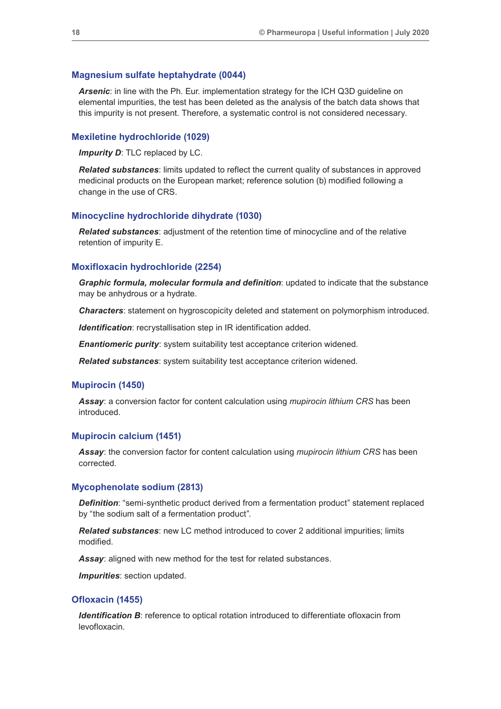#### **Magnesium sulfate heptahydrate (0044)**

*Arsenic*: in line with the Ph. Eur. implementation strategy for the ICH Q3D guideline on elemental impurities, the test has been deleted as the analysis of the batch data shows that this impurity is not present. Therefore, a systematic control is not considered necessary.

### **Mexiletine hydrochloride (1029)**

*Impurity D*: TLC replaced by LC.

*Related substances*: limits updated to reflect the current quality of substances in approved medicinal products on the European market; reference solution (b) modified following a change in the use of CRS.

# **Minocycline hydrochloride dihydrate (1030)**

*Related substances*: adjustment of the retention time of minocycline and of the relative retention of impurity E.

#### **Moxifloxacin hydrochloride (2254)**

*Graphic formula, molecular formula and definition*: updated to indicate that the substance may be anhydrous or a hydrate.

*Characters*: statement on hygroscopicity deleted and statement on polymorphism introduced.

**Identification**: recrystallisation step in IR identification added.

*Enantiomeric purity*: system suitability test acceptance criterion widened.

*Related substances*: system suitability test acceptance criterion widened.

#### **Mupirocin (1450)**

*Assay*: a conversion factor for content calculation using *mupirocin lithium CRS* has been introduced.

### **Mupirocin calcium (1451)**

*Assay*: the conversion factor for content calculation using *mupirocin lithium CRS* has been corrected.

#### **Mycophenolate sodium (2813)**

*Definition*: "semi-synthetic product derived from a fermentation product" statement replaced by "the sodium salt of a fermentation product".

*Related substances*: new LC method introduced to cover 2 additional impurities; limits modified.

*Assay*: aligned with new method for the test for related substances.

*Impurities*: section updated.

#### **Ofloxacin (1455)**

*Identification B*: reference to optical rotation introduced to differentiate ofloxacin from levofloxacin.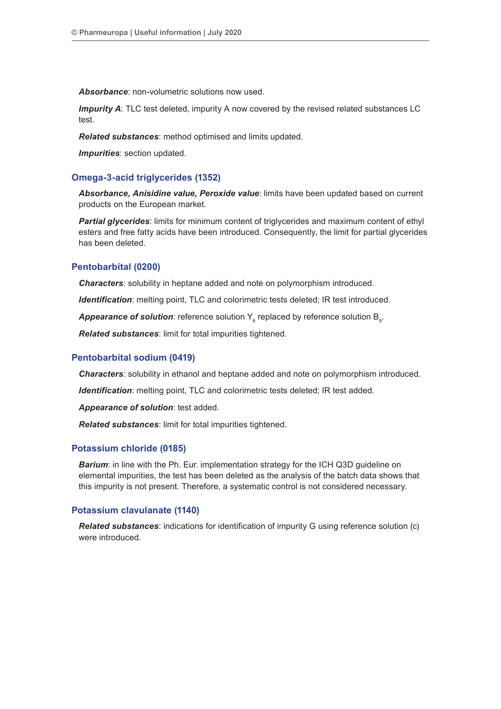*Absorbance*: non-volumetric solutions now used.

**Impurity A:** TLC test deleted, impurity A now covered by the revised related substances LC test.

*Related substances*: method optimised and limits updated.

*Impurities*: section updated.

# **Omega-3-acid triglycerides (1352)**

*Absorbance, Anisidine value, Peroxide value*: limits have been updated based on current products on the European market.

**Partial glycerides**: limits for minimum content of triglycerides and maximum content of ethyl esters and free fatty acids have been introduced. Consequently, the limit for partial glycerides has been deleted.

# **Pentobarbital (0200)**

*Characters*: solubility in heptane added and note on polymorphism introduced.

*Identification*: melting point, TLC and colorimetric tests deleted; IR test introduced.

 $\bm A$ ppearance of solution: reference solution  $\bm \mathsf{Y}_{{}_{6}}$  replaced by reference solution  $\bm \mathsf{B}_{{}_{9}}$ .

*Related substances*: limit for total impurities tightened.

# **Pentobarbital sodium (0419)**

*Characters*: solubility in ethanol and heptane added and note on polymorphism introduced.

*Identification*: melting point, TLC and colorimetric tests deleted; IR test added.

*Appearance of solution*: test added.

*Related substances*: limit for total impurities tightened.

## **Potassium chloride (0185)**

**Barium:** in line with the Ph. Eur. implementation strategy for the ICH Q3D guideline on elemental impurities, the test has been deleted as the analysis of the batch data shows that this impurity is not present. Therefore, a systematic control is not considered necessary.

# **Potassium clavulanate (1140)**

*Related substances*: indications for identification of impurity G using reference solution (c) were introduced.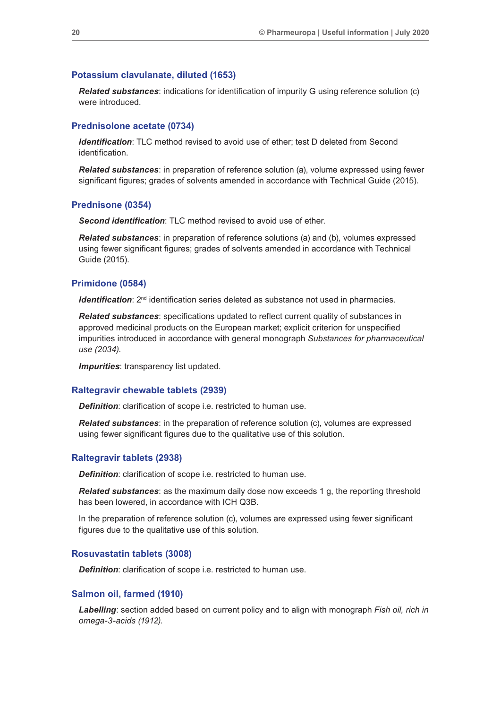#### **Potassium clavulanate, diluted (1653)**

*Related substances*: indications for identification of impurity G using reference solution (c) were introduced.

# **Prednisolone acetate (0734)**

*Identification*: TLC method revised to avoid use of ether; test D deleted from Second identification.

*Related substances*: in preparation of reference solution (a), volume expressed using fewer significant figures; grades of solvents amended in accordance with Technical Guide (2015).

### **Prednisone (0354)**

*Second identification*: TLC method revised to avoid use of ether.

*Related substances*: in preparation of reference solutions (a) and (b), volumes expressed using fewer significant figures; grades of solvents amended in accordance with Technical Guide (2015).

### **Primidone (0584)**

*Identification*:  $2^{nd}$  identification series deleted as substance not used in pharmacies.

*Related substances*: specifications updated to reflect current quality of substances in approved medicinal products on the European market; explicit criterion for unspecified impurities introduced in accordance with general monograph *Substances for pharmaceutical use (2034)*.

*Impurities*: transparency list updated.

## **Raltegravir chewable tablets (2939)**

*Definition*: clarification of scope i.e. restricted to human use.

*Related substances*: in the preparation of reference solution (c), volumes are expressed using fewer significant figures due to the qualitative use of this solution.

## **Raltegravir tablets (2938)**

*Definition*: clarification of scope i.e. restricted to human use.

*Related substances*: as the maximum daily dose now exceeds 1 g, the reporting threshold has been lowered, in accordance with ICH Q3B.

In the preparation of reference solution (c), volumes are expressed using fewer significant figures due to the qualitative use of this solution.

#### **Rosuvastatin tablets (3008)**

*Definition*: clarification of scope i.e. restricted to human use.

### **Salmon oil, farmed (1910)**

*Labelling*: section added based on current policy and to align with monograph *Fish oil, rich in omega-3-acids (1912)*.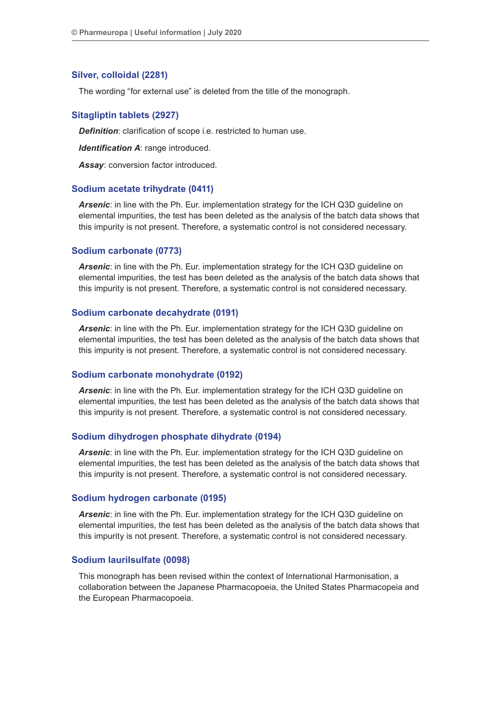## **Silver, colloidal (2281)**

The wording "for external use" is deleted from the title of the monograph.

## **Sitagliptin tablets (2927)**

*Definition*: clarification of scope i.e. restricted to human use.

*Identification A*: range introduced.

*Assay*: conversion factor introduced.

#### **Sodium acetate trihydrate (0411)**

*Arsenic*: in line with the Ph. Eur. implementation strategy for the ICH Q3D guideline on elemental impurities, the test has been deleted as the analysis of the batch data shows that this impurity is not present. Therefore, a systematic control is not considered necessary.

#### **Sodium carbonate (0773)**

*Arsenic*: in line with the Ph. Eur. implementation strategy for the ICH Q3D guideline on elemental impurities, the test has been deleted as the analysis of the batch data shows that this impurity is not present. Therefore, a systematic control is not considered necessary.

#### **Sodium carbonate decahydrate (0191)**

*Arsenic*: in line with the Ph. Eur. implementation strategy for the ICH Q3D guideline on elemental impurities, the test has been deleted as the analysis of the batch data shows that this impurity is not present. Therefore, a systematic control is not considered necessary.

#### **Sodium carbonate monohydrate (0192)**

*Arsenic*: in line with the Ph. Eur. implementation strategy for the ICH Q3D guideline on elemental impurities, the test has been deleted as the analysis of the batch data shows that this impurity is not present. Therefore, a systematic control is not considered necessary.

#### **Sodium dihydrogen phosphate dihydrate (0194)**

*Arsenic*: in line with the Ph. Eur. implementation strategy for the ICH Q3D guideline on elemental impurities, the test has been deleted as the analysis of the batch data shows that this impurity is not present. Therefore, a systematic control is not considered necessary.

#### **Sodium hydrogen carbonate (0195)**

*Arsenic*: in line with the Ph. Eur. implementation strategy for the ICH Q3D guideline on elemental impurities, the test has been deleted as the analysis of the batch data shows that this impurity is not present. Therefore, a systematic control is not considered necessary.

#### **Sodium laurilsulfate (0098)**

This monograph has been revised within the context of International Harmonisation, a collaboration between the Japanese Pharmacopoeia, the United States Pharmacopeia and the European Pharmacopoeia.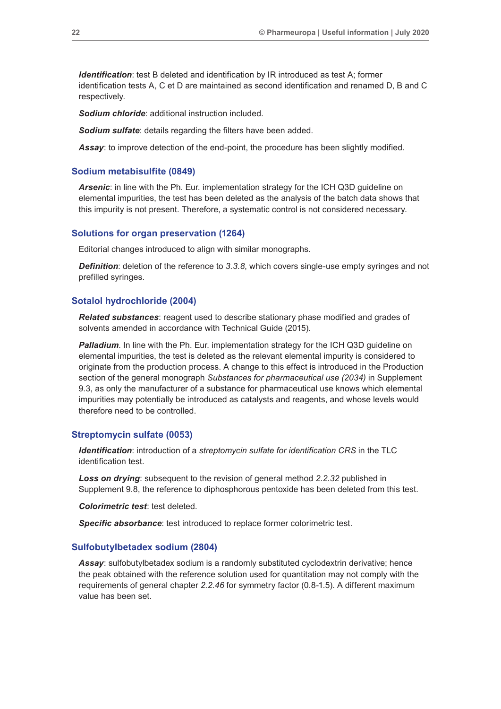*Identification*: test B deleted and identification by IR introduced as test A; former identification tests A, C et D are maintained as second identification and renamed D, B and C respectively.

*Sodium chloride*: additional instruction included.

**Sodium sulfate:** details regarding the filters have been added.

*Assay*: to improve detection of the end-point, the procedure has been slightly modified.

#### **Sodium metabisulfite (0849)**

*Arsenic*: in line with the Ph. Eur. implementation strategy for the ICH Q3D guideline on elemental impurities, the test has been deleted as the analysis of the batch data shows that this impurity is not present. Therefore, a systematic control is not considered necessary.

### **Solutions for organ preservation (1264)**

Editorial changes introduced to align with similar monographs.

*Definition*: deletion of the reference to 3.3.8, which covers single-use empty syringes and not prefilled syringes.

## **Sotalol hydrochloride (2004)**

**Related substances**: reagent used to describe stationary phase modified and grades of solvents amended in accordance with Technical Guide (2015).

**Palladium**. In line with the Ph. Eur. implementation strategy for the ICH Q3D guideline on elemental impurities, the test is deleted as the relevant elemental impurity is considered to originate from the production process. A change to this effect is introduced in the Production section of the general monograph *Substances for pharmaceutical use (2034)* in Supplement 9.3, as only the manufacturer of a substance for pharmaceutical use knows which elemental impurities may potentially be introduced as catalysts and reagents, and whose levels would therefore need to be controlled.

#### **Streptomycin sulfate (0053)**

*Identification*: introduction of a *streptomycin sulfate for identification CRS* in the TLC identification test.

*Loss on drying*: subsequent to the revision of general method *2.2.32* published in Supplement 9.8, the reference to diphosphorous pentoxide has been deleted from this test.

*Colorimetric test*: test deleted.

*Specific absorbance*: test introduced to replace former colorimetric test.

#### **Sulfobutylbetadex sodium (2804)**

*Assay*: sulfobutylbetadex sodium is a randomly substituted cyclodextrin derivative; hence the peak obtained with the reference solution used for quantitation may not comply with the requirements of general chapter *2.2.46* for symmetry factor (0.8-1.5). A different maximum value has been set.